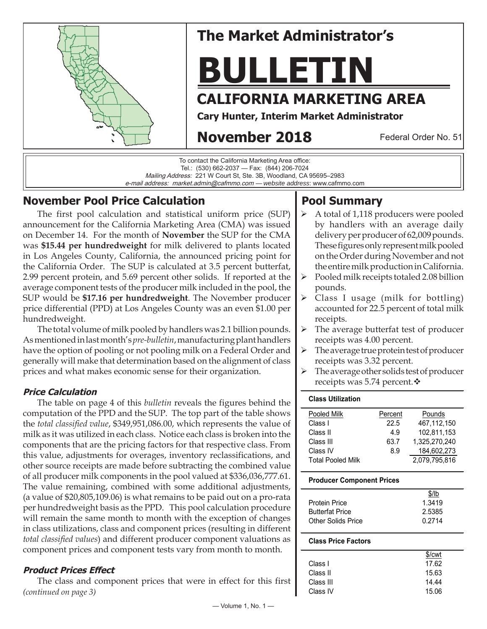

# **The Market Administrator's**

# **BULLETIN**

# **CALIFORNIA MARKETING AREA**

**Cary Hunter, Interim Market Administrator**

# **November 2018**

Federal Order No. 51

To contact the California Marketing Area office: Tel.: (530) 662-2037 — Fax: (844) 206-7024 Mailing Address: 221 W Court St, Ste. 3B, Woodland, CA 95695–2983 e-mail address: market.admin@cafmmo.com — *website address*: www.cafmmo.com

# **November Pool Price Calculation**

The first pool calculation and statistical uniform price (SUP) announcement for the California Marketing Area (CMA) was issued on December 14. For the month of **November** the SUP for the CMA was **\$15.44 per hundredweight** for milk delivered to plants located in Los Angeles County, California, the announced pricing point for the California Order. The SUP is calculated at 3.5 percent butterfat, 2.99 percent protein, and 5.69 percent other solids. If reported at the average component tests of the producer milk included in the pool, the SUP would be **\$17.16 per hundredweight**. The November producer price differential (PPD) at Los Angeles County was an even \$1.00 per hundredweight.

The total volume of milk pooled by handlers was 2.1 billion pounds. As mentioned in last month's *pre-bulletin*, manufacturing plant handlers have the option of pooling or not pooling milk on a Federal Order and generally will make that determination based on the alignment of class prices and what makes economic sense for their organization.

#### **Price Calculation**

The table on page 4 of this *bulletin* reveals the figures behind the computation of the PPD and the SUP. The top part of the table shows the *total classified value*, \$349,951,086.00, which represents the value of milk as it was utilized in each class. Notice each class is broken into the components that are the pricing factors for that respective class. From this value, adjustments for overages, inventory reclassifications, and other source receipts are made before subtracting the combined value of all producer milk components in the pool valued at \$336,036,777.61. The value remaining, combined with some additional adjustments, (a value of \$20,805,109.06) is what remains to be paid out on a pro-rata per hundredweight basis as the PPD. This pool calculation procedure will remain the same month to month with the exception of changes in class utilizations, class and component prices (resulting in different *total classified values*) and different producer component valuations as component prices and component tests vary from month to month.

## **Product Prices Effect**

*(continued on page 3)* The class and component prices that were in effect for this first

# **Pool Summary**

- A total of 1,118 producers were pooled by handlers with an average daily delivery per producer of 62,009 pounds. These figures only represent milk pooled on the Order during November and not the entire milk production in California.
- Pooled milk receipts totaled 2.08 billion pounds.
- $\triangleright$  Class I usage (milk for bottling) accounted for 22.5 percent of total milk receipts.
- $\triangleright$  The average butterfat test of producer receipts was 4.00 percent.
- The average true protein test of producer receipts was 3.32 percent.
- $\triangleright$  The average other solids test of producer receipts was 5.74 percent. ❖

#### **Class Utilization**

| Pooled Milk              | Percent | Pounds        |
|--------------------------|---------|---------------|
| Class I                  | 22.5    | 467.112.150   |
| Class II                 | 4.9     | 102.811.153   |
| Class III                | 63.7    | 1.325.270.240 |
| Class IV                 | 8.9     | 184.602.273   |
| <b>Total Pooled Milk</b> |         | 2.079,795,816 |

#### **Producer Component Prices**

|                        | $$$ /lb |
|------------------------|---------|
| <b>Protein Price</b>   | 1.3419  |
| <b>Butterfat Price</b> | 2.5385  |
| Other Solids Price     | በ 2714  |

#### **Class Price Factors**

|           | \$/cwt |
|-----------|--------|
| Class L   | 17.62  |
| Class II  | 15.63  |
| Class III | 14.44  |
| Class IV  | 15.06  |
|           |        |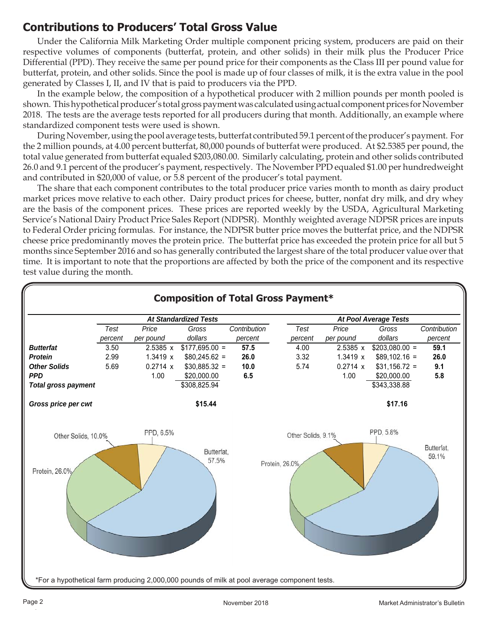# **Contributions to Producers' Total Gross Value**

Under the California Milk Marketing Order multiple component pricing system, producers are paid on their respective volumes of components (butterfat, protein, and other solids) in their milk plus the Producer Price Differential (PPD). They receive the same per pound price for their components as the Class III per pound value for butterfat, protein, and other solids. Since the pool is made up of four classes of milk, it is the extra value in the pool generated by Classes I, II, and IV that is paid to producers via the PPD.

In the example below, the composition of a hypothetical producer with 2 million pounds per month pooled is shown. This hypothetical producer's total gross payment was calculated using actual component prices for November 2018. The tests are the average tests reported for all producers during that month. Additionally, an example where standardized component tests were used is shown.

During November, using the pool average tests, butterfat contributed 59.1 percent of the producer's payment. For the 2 million pounds, at 4.00 percent butterfat, 80,000 pounds of butterfat were produced. At \$2.5385 per pound, the total value generated from butterfat equaled \$203,080.00. Similarly calculating, protein and other solids contributed 26.0 and 9.1 percent of the producer's payment, respectively. The November PPD equaled \$1.00 per hundredweight and contributed in \$20,000 of value, or 5.8 percent of the producer's total payment.

The share that each component contributes to the total producer price varies month to month as dairy product market prices move relative to each other. Dairy product prices for cheese, butter, nonfat dry milk, and dry whey are the basis of the component prices. These prices are reported weekly by the USDA, Agricultural Marketing Service's National Dairy Product Price Sales Report (NDPSR). Monthly weighted average NDPSR prices are inputs to Federal Order pricing formulas. For instance, the NDPSR butter price moves the butterfat price, and the NDPSR cheese price predominantly moves the protein price. The butterfat price has exceeded the protein price for all but 5 months since September 2016 and so has generally contributed the largest share of the total producer value over that time. It is important to note that the proportions are affected by both the price of the component and its respective test value during the month.

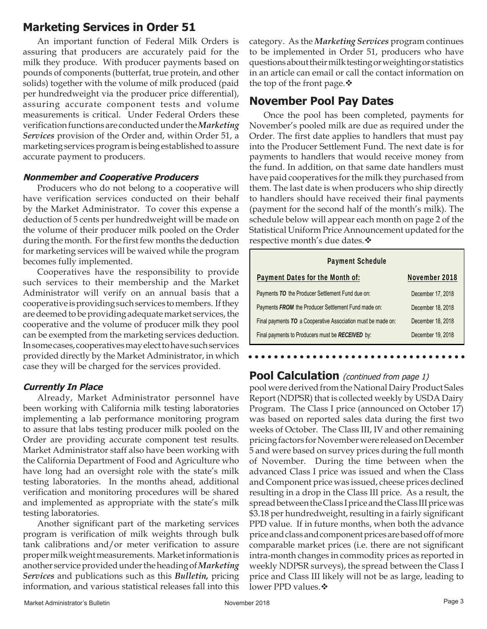## **Marketing Services in Order 51**

An important function of Federal Milk Orders is assuring that producers are accurately paid for the milk they produce. With producer payments based on pounds of components (butterfat, true protein, and other solids) together with the volume of milk produced (paid per hundredweight via the producer price differential), assuring accurate component tests and volume measurements is critical. Under Federal Orders these verification functions are conducted under the *Marketing Services* provision of the Order and, within Order 51, a marketing services program is being established to assure accurate payment to producers.

#### **Nonmember and Cooperative Producers**

Producers who do not belong to a cooperative will have verification services conducted on their behalf by the Market Administrator. To cover this expense a deduction of 5 cents per hundredweight will be made on the volume of their producer milk pooled on the Order during the month. For the first few months the deduction for marketing services will be waived while the program becomes fully implemented.

Cooperatives have the responsibility to provide such services to their membership and the Market Administrator will verify on an annual basis that a cooperative is providing such services to members. If they are deemed to be providing adequate market services, the cooperative and the volume of producer milk they pool can be exempted from the marketing services deduction. In some cases, cooperatives may elect to have such services provided directly by the Market Administrator, in which case they will be charged for the services provided.

#### **Currently In Place**

Already, Market Administrator personnel have been working with California milk testing laboratories implementing a lab performance monitoring program to assure that labs testing producer milk pooled on the Order are providing accurate component test results. Market Administrator staff also have been working with the California Department of Food and Agriculture who have long had an oversight role with the state's milk testing laboratories. In the months ahead, additional verification and monitoring procedures will be shared and implemented as appropriate with the state's milk testing laboratories.

Another significant part of the marketing services program is verification of milk weights through bulk tank calibrations and/or meter verification to assure proper milk weight measurements. Market information is another service provided under the heading of *Marketing Services* and publications such as this *Bulletin,* pricing information, and various statistical releases fall into this category. As the *Marketing Services* program continues to be implemented in Order 51, producers who have questions about their milk testing or weighting or statistics in an article can email or call the contact information on the top of the front page.  $\mathbf{\hat{v}}$ 

## **November Pool Pay Dates**

Once the pool has been completed, payments for November's pooled milk are due as required under the Order. The first date applies to handlers that must pay into the Producer Settlement Fund. The next date is for payments to handlers that would receive money from the fund. In addition, on that same date handlers must have paid cooperatives for the milk they purchased from them. The last date is when producers who ship directly to handlers should have received their final payments (payment for the second half of the month's milk). The schedule below will appear each month on page 2 of the Statistical Uniform Price Announcement updated for the respective month's due dates.

| <b>Payment Schedule</b>                                      |                   |  |  |  |  |
|--------------------------------------------------------------|-------------------|--|--|--|--|
| Payment Dates for the Month of:                              | November 2018     |  |  |  |  |
| Payments TO the Producer Settlement Fund due on:             | December 17, 2018 |  |  |  |  |
| Payments FROM the Producer Settlement Fund made on:          | December 18, 2018 |  |  |  |  |
| Final payments TO a Cooperative Association must be made on: | December 18, 2018 |  |  |  |  |
| Final payments to Producers must be RECEIVED by:             | December 19, 2018 |  |  |  |  |

## **Pool Calculation** (continued from page 1)

pool were derived from the National Dairy Product Sales Report (NDPSR) that is collected weekly by USDA Dairy Program. The Class I price (announced on October 17) was based on reported sales data during the first two weeks of October. The Class III, IV and other remaining pricing factors for November were released on December 5 and were based on survey prices during the full month of November. During the time between when the advanced Class I price was issued and when the Class and Component price was issued, cheese prices declined resulting in a drop in the Class III price. As a result, the spread between the Class I price and the Class III price was \$3.18 per hundredweight, resulting in a fairly significant PPD value. If in future months, when both the advance price and class and component prices are based off of more comparable market prices (i.e. there are not significant intra-month changes in commodity prices as reported in weekly NDPSR surveys), the spread between the Class I price and Class III likely will not be as large, leading to lower PPD values. ❖